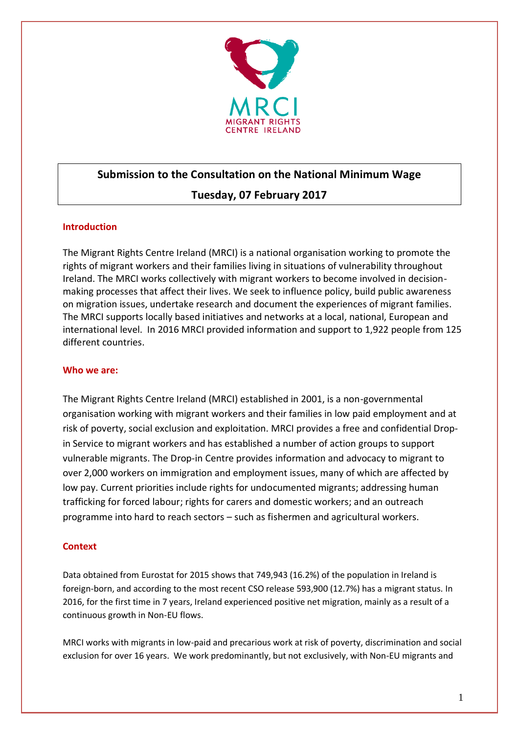

# **Submission to the Consultation on the National Minimum Wage**

## **Tuesday, 07 February 2017**

## **Introduction**

The Migrant Rights Centre Ireland (MRCI) is a national organisation working to promote the rights of migrant workers and their families living in situations of vulnerability throughout Ireland. The MRCI works collectively with migrant workers to become involved in decisionmaking processes that affect their lives. We seek to influence policy, build public awareness on migration issues, undertake research and document the experiences of migrant families. The MRCI supports locally based initiatives and networks at a local, national, European and international level. In 2016 MRCI provided information and support to 1,922 people from 125 different countries.

## **Who we are:**

The Migrant Rights Centre Ireland (MRCI) established in 2001, is a non-governmental organisation working with migrant workers and their families in low paid employment and at risk of poverty, social exclusion and exploitation. MRCI provides a free and confidential Dropin Service to migrant workers and has established a number of action groups to support vulnerable migrants. The Drop-in Centre provides information and advocacy to migrant to over 2,000 workers on immigration and employment issues, many of which are affected by low pay. Current priorities include rights for undocumented migrants; addressing human trafficking for forced labour; rights for carers and domestic workers; and an outreach programme into hard to reach sectors – such as fishermen and agricultural workers.

## **Context**

Data obtained from Eurostat for 2015 shows that 749,943 (16.2%) of the population in Ireland is foreign-born, and according to the most recent CSO release 593,900 (12.7%) has a migrant status. In 2016, for the first time in 7 years, Ireland experienced positive net migration, mainly as a result of a continuous growth in Non-EU flows.

MRCI works with migrants in low-paid and precarious work at risk of poverty, discrimination and social exclusion for over 16 years. We work predominantly, but not exclusively, with Non-EU migrants and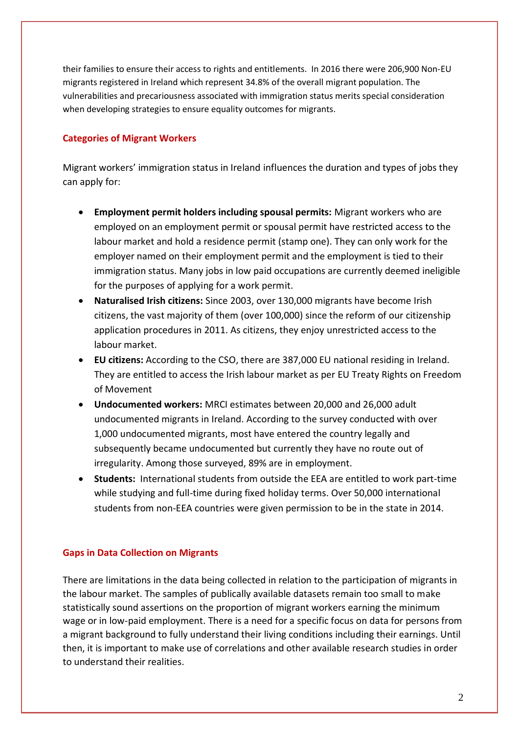their families to ensure their access to rights and entitlements. In 2016 there were 206,900 Non-EU migrants registered in Ireland which represent 34.8% of the overall migrant population. The vulnerabilities and precariousness associated with immigration status merits special consideration when developing strategies to ensure equality outcomes for migrants.

## **Categories of Migrant Workers**

Migrant workers' immigration status in Ireland influences the duration and types of jobs they can apply for:

- **Employment permit holders including spousal permits:** Migrant workers who are employed on an employment permit or spousal permit have restricted access to the labour market and hold a residence permit (stamp one). They can only work for the employer named on their employment permit and the employment is tied to their immigration status. Many jobs in low paid occupations are currently deemed ineligible for the purposes of applying for a work permit.
- **Naturalised Irish citizens:** Since 2003, over 130,000 migrants have become Irish citizens, the vast majority of them (over 100,000) since the reform of our citizenship application procedures in 2011. As citizens, they enjoy unrestricted access to the labour market.
- **EU citizens:** According to the CSO, there are 387,000 EU national residing in Ireland. They are entitled to access the Irish labour market as per EU Treaty Rights on Freedom of Movement
- **Undocumented workers:** MRCI estimates between 20,000 and 26,000 adult undocumented migrants in Ireland. According to the survey conducted with over 1,000 undocumented migrants, most have entered the country legally and subsequently became undocumented but currently they have no route out of irregularity. Among those surveyed, 89% are in employment.
- **Students:** International students from outside the EEA are entitled to work part-time while studying and full-time during fixed holiday terms. Over 50,000 international students from non-EEA countries were given permission to be in the state in 2014.

#### **Gaps in Data Collection on Migrants**

There are limitations in the data being collected in relation to the participation of migrants in the labour market. The samples of publically available datasets remain too small to make statistically sound assertions on the proportion of migrant workers earning the minimum wage or in low-paid employment. There is a need for a specific focus on data for persons from a migrant background to fully understand their living conditions including their earnings. Until then, it is important to make use of correlations and other available research studies in order to understand their realities.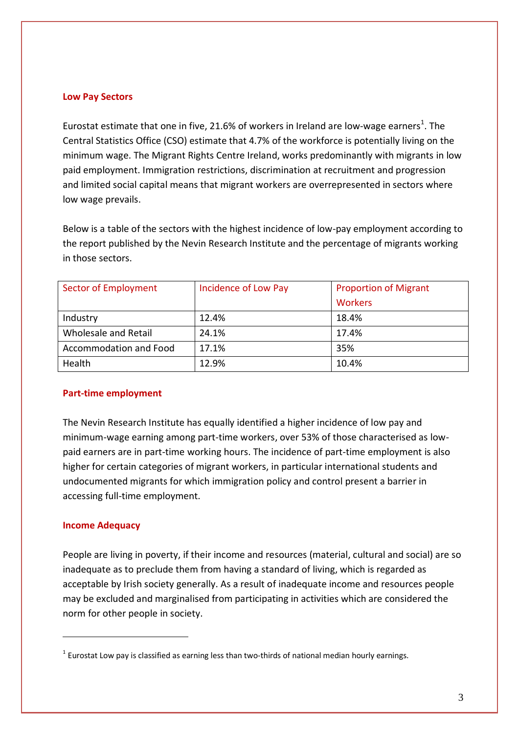#### **Low Pay Sectors**

Eurostat estimate that one in five, 21.6% of workers in Ireland are low-wage earners<sup>1</sup>. The Central Statistics Office (CSO) estimate that 4.7% of the workforce is potentially living on the minimum wage. The Migrant Rights Centre Ireland, works predominantly with migrants in low paid employment. Immigration restrictions, discrimination at recruitment and progression and limited social capital means that migrant workers are overrepresented in sectors where low wage prevails.

Below is a table of the sectors with the highest incidence of low-pay employment according to the report published by the Nevin Research Institute and the percentage of migrants working in those sectors.

| <b>Sector of Employment</b> | Incidence of Low Pay | <b>Proportion of Migrant</b> |
|-----------------------------|----------------------|------------------------------|
|                             |                      | <b>Workers</b>               |
| Industry                    | 12.4%                | 18.4%                        |
| Wholesale and Retail        | 24.1%                | 17.4%                        |
| Accommodation and Food      | 17.1%                | 35%                          |
| Health                      | 12.9%                | 10.4%                        |

#### **Part-time employment**

The Nevin Research Institute has equally identified a higher incidence of low pay and minimum-wage earning among part-time workers, over 53% of those characterised as lowpaid earners are in part-time working hours. The incidence of part-time employment is also higher for certain categories of migrant workers, in particular international students and undocumented migrants for which immigration policy and control present a barrier in accessing full-time employment.

#### **Income Adequacy**

<u>.</u>

People are living in poverty, if their income and resources (material, cultural and social) are so inadequate as to preclude them from having a standard of living, which is regarded as acceptable by Irish society generally. As a result of inadequate income and resources people may be excluded and marginalised from participating in activities which are considered the norm for other people in society.

 $1$  Eurostat Low pay is classified as earning less than two-thirds of national median hourly earnings.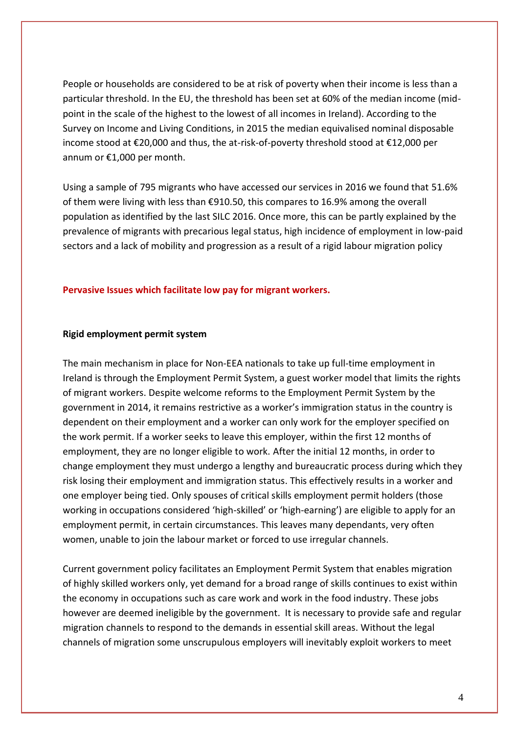People or households are considered to be at risk of poverty when their income is less than a particular threshold. In the EU, the threshold has been set at 60% of the median income (midpoint in the scale of the highest to the lowest of all incomes in Ireland). According to the Survey on Income and Living Conditions, in 2015 the median equivalised nominal disposable income stood at €20,000 and thus, the at-risk-of-poverty threshold stood at €12,000 per annum or €1,000 per month.

Using a sample of 795 migrants who have accessed our services in 2016 we found that 51.6% of them were living with less than €910.50, this compares to 16.9% among the overall population as identified by the last SILC 2016. Once more, this can be partly explained by the prevalence of migrants with precarious legal status, high incidence of employment in low-paid sectors and a lack of mobility and progression as a result of a rigid labour migration policy

## **Pervasive Issues which facilitate low pay for migrant workers.**

#### **Rigid employment permit system**

The main mechanism in place for Non-EEA nationals to take up full-time employment in Ireland is through the Employment Permit System, a guest worker model that limits the rights of migrant workers. Despite welcome reforms to the Employment Permit System by the government in 2014, it remains restrictive as a worker's immigration status in the country is dependent on their employment and a worker can only work for the employer specified on the work permit. If a worker seeks to leave this employer, within the first 12 months of employment, they are no longer eligible to work. After the initial 12 months, in order to change employment they must undergo a lengthy and bureaucratic process during which they risk losing their employment and immigration status. This effectively results in a worker and one employer being tied. Only spouses of critical skills employment permit holders (those working in occupations considered 'high-skilled' or 'high-earning') are eligible to apply for an employment permit, in certain circumstances. This leaves many dependants, very often women, unable to join the labour market or forced to use irregular channels.

Current government policy facilitates an Employment Permit System that enables migration of highly skilled workers only, yet demand for a broad range of skills continues to exist within the economy in occupations such as care work and work in the food industry. These jobs however are deemed ineligible by the government. It is necessary to provide safe and regular migration channels to respond to the demands in essential skill areas. Without the legal channels of migration some unscrupulous employers will inevitably exploit workers to meet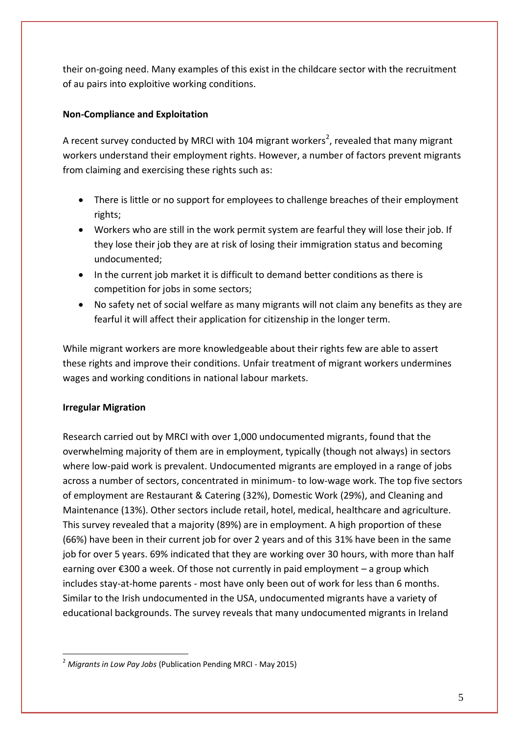their on-going need. Many examples of this exist in the childcare sector with the recruitment of au pairs into exploitive working conditions.

## **Non-Compliance and Exploitation**

A recent survey conducted by MRCI with 104 migrant workers<sup>2</sup>, revealed that many migrant workers understand their employment rights. However, a number of factors prevent migrants from claiming and exercising these rights such as:

- There is little or no support for employees to challenge breaches of their employment rights;
- Workers who are still in the work permit system are fearful they will lose their job. If they lose their job they are at risk of losing their immigration status and becoming undocumented;
- In the current job market it is difficult to demand better conditions as there is competition for jobs in some sectors;
- No safety net of social welfare as many migrants will not claim any benefits as they are fearful it will affect their application for citizenship in the longer term.

While migrant workers are more knowledgeable about their rights few are able to assert these rights and improve their conditions. Unfair treatment of migrant workers undermines wages and working conditions in national labour markets.

## **Irregular Migration**

Research carried out by MRCI with over 1,000 undocumented migrants, found that the overwhelming majority of them are in employment, typically (though not always) in sectors where low-paid work is prevalent. Undocumented migrants are employed in a range of jobs across a number of sectors, concentrated in minimum- to low-wage work. The top five sectors of employment are Restaurant & Catering (32%), Domestic Work (29%), and Cleaning and Maintenance (13%). Other sectors include retail, hotel, medical, healthcare and agriculture. This survey revealed that a majority (89%) are in employment. A high proportion of these (66%) have been in their current job for over 2 years and of this 31% have been in the same job for over 5 years. 69% indicated that they are working over 30 hours, with more than half earning over €300 a week. Of those not currently in paid employment – a group which includes stay-at-home parents - most have only been out of work for less than 6 months. Similar to the Irish undocumented in the USA, undocumented migrants have a variety of educational backgrounds. The survey reveals that many undocumented migrants in Ireland

<sup>&</sup>lt;u>.</u> <sup>2</sup> *Migrants in Low Pay Jobs* (Publication Pending MRCI - May 2015)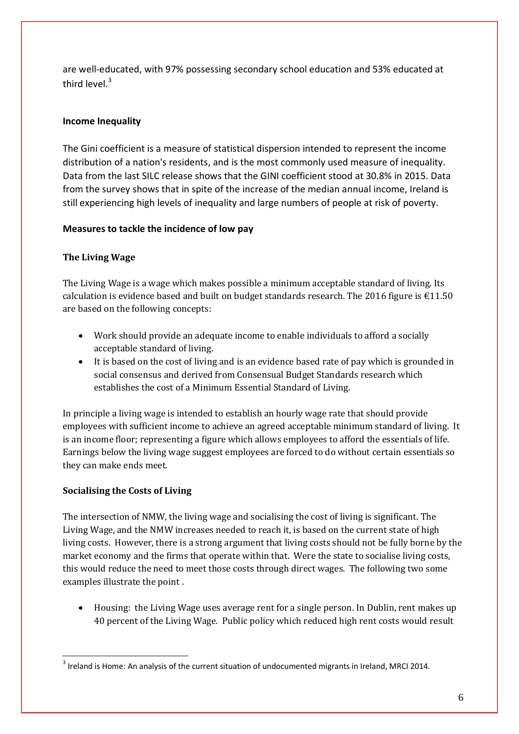are well-educated, with 97% possessing secondary school education and 53% educated at third level.<sup>3</sup>

## **Income Inequality**

The Gini coefficient is a measure of statistical dispersion intended to represent the income distribution of a nation's residents, and is the most commonly used measure of inequality. Data from the last SILC release shows that the GINI coefficient stood at 30.8% in 2015. Data from the survey shows that in spite of the increase of the median annual income, Ireland is still experiencing high levels of inequality and large numbers of people at risk of poverty.

## **Measures to tackle the incidence of low pay**

## **The Living Wage**

The Living Wage is a wage which makes possible a minimum acceptable standard of living. Its calculation is evidence based and built on budget standards research. The 2016 figure is  $\epsilon$ 11.50 are based on the following concepts:

- Work should provide an adequate income to enable individuals to afford a socially acceptable standard of living.
- It is based on the cost of living and is an evidence based rate of pay which is grounded in social consensus and derived from Consensual Budget Standards research which establishes the cost of a Minimum Essential Standard of Living.

In principle a living wage is intended to establish an hourly wage rate that should provide employees with sufficient income to achieve an agreed acceptable minimum standard of living. It is an income floor; representing a figure which allows employees to afford the essentials of life. Earnings below the living wage suggest employees are forced to do without certain essentials so they can make ends meet.

## **Socialising the Costs of Living**

The intersection of NMW, the living wage and socialising the cost of living is significant. The Living Wage, and the NMW increases needed to reach it, is based on the current state of high living costs. However, there is a strong argument that living costs should not be fully borne by the market economy and the firms that operate within that. Were the state to socialise living costs, this would reduce the need to meet those costs through direct wages. The following two some examples illustrate the point .

 Housing: the Living Wage uses average rent for a single person. In Dublin, rent makes up 40 percent of the Living Wage. Public policy which reduced high rent costs would result

<sup>&</sup>lt;u>.</u>  $3$  Ireland is Home: An analysis of the current situation of undocumented migrants in Ireland, MRCI 2014.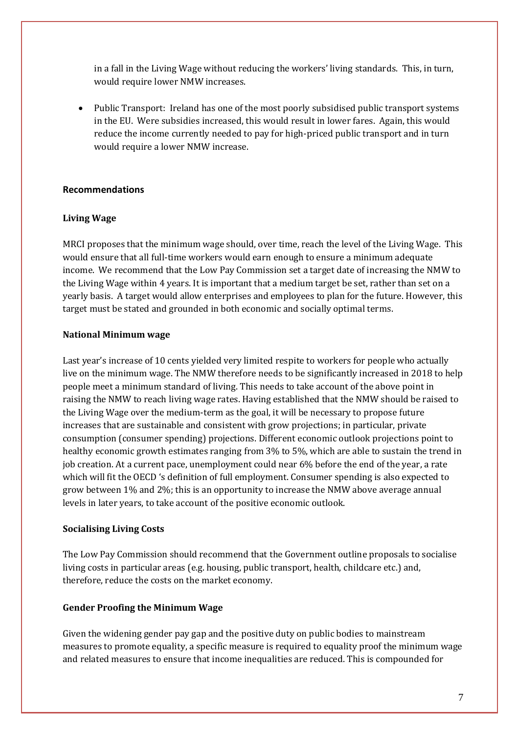in a fall in the Living Wage without reducing the workers' living standards. This, in turn, would require lower NMW increases.

• Public Transport: Ireland has one of the most poorly subsidised public transport systems in the EU. Were subsidies increased, this would result in lower fares. Again, this would reduce the income currently needed to pay for high-priced public transport and in turn would require a lower NMW increase.

#### **Recommendations**

## **Living Wage**

MRCI proposes that the minimum wage should, over time, reach the level of the Living Wage. This would ensure that all full-time workers would earn enough to ensure a minimum adequate income. We recommend that the Low Pay Commission set a target date of increasing the NMW to the Living Wage within 4 years. It is important that a medium target be set, rather than set on a yearly basis. A target would allow enterprises and employees to plan for the future. However, this target must be stated and grounded in both economic and socially optimal terms.

#### **National Minimum wage**

Last year's increase of 10 cents yielded very limited respite to workers for people who actually live on the minimum wage. The NMW therefore needs to be significantly increased in 2018 to help people meet a minimum standard of living. This needs to take account of the above point in raising the NMW to reach living wage rates. Having established that the NMW should be raised to the Living Wage over the medium-term as the goal, it will be necessary to propose future increases that are sustainable and consistent with grow projections; in particular, private consumption (consumer spending) projections. Different economic outlook projections point to healthy economic growth estimates ranging from 3% to 5%, which are able to sustain the trend in job creation. At a current pace, unemployment could near 6% before the end of the year, a rate which will fit the OECD 's definition of full employment. Consumer spending is also expected to grow between 1% and 2%; this is an opportunity to increase the NMW above average annual levels in later years, to take account of the positive economic outlook.

#### **Socialising Living Costs**

The Low Pay Commission should recommend that the Government outline proposals to socialise living costs in particular areas (e.g. housing, public transport, health, childcare etc.) and, therefore, reduce the costs on the market economy.

#### **Gender Proofing the Minimum Wage**

Given the widening gender pay gap and the positive duty on public bodies to mainstream measures to promote equality, a specific measure is required to equality proof the minimum wage and related measures to ensure that income inequalities are reduced. This is compounded for